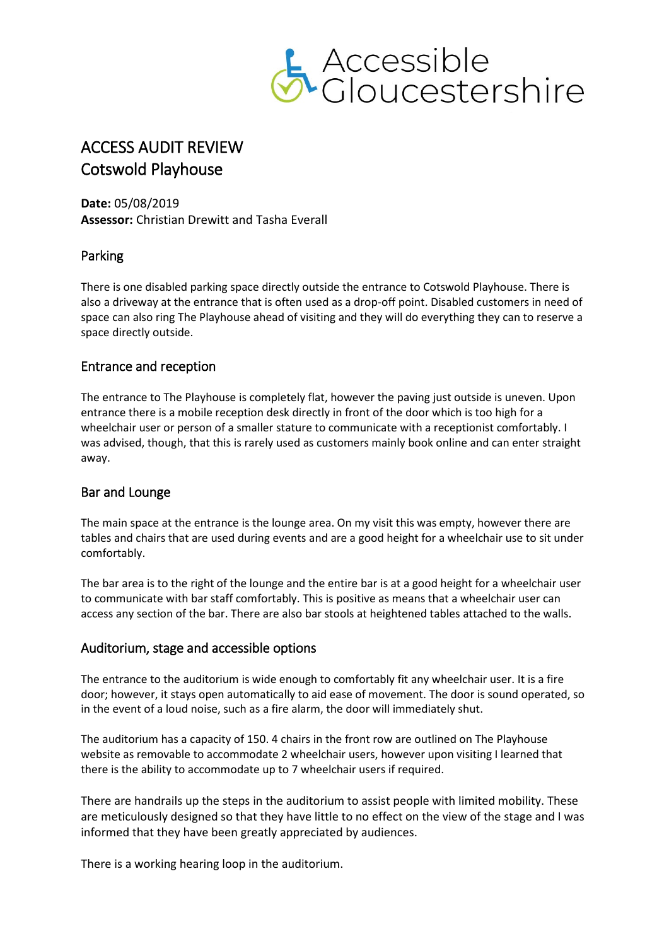

# ACCESS AUDIT REVIEW Cotswold Playhouse

**Date:** 05/08/2019 **Assessor:** Christian Drewitt and Tasha Everall

# Parking

There is one disabled parking space directly outside the entrance to Cotswold Playhouse. There is also a driveway at the entrance that is often used as a drop-off point. Disabled customers in need of space can also ring The Playhouse ahead of visiting and they will do everything they can to reserve a space directly outside.

# Entrance and reception

The entrance to The Playhouse is completely flat, however the paving just outside is uneven. Upon entrance there is a mobile reception desk directly in front of the door which is too high for a wheelchair user or person of a smaller stature to communicate with a receptionist comfortably. I was advised, though, that this is rarely used as customers mainly book online and can enter straight away.

# Bar and Lounge

The main space at the entrance is the lounge area. On my visit this was empty, however there are tables and chairs that are used during events and are a good height for a wheelchair use to sit under comfortably.

The bar area is to the right of the lounge and the entire bar is at a good height for a wheelchair user to communicate with bar staff comfortably. This is positive as means that a wheelchair user can access any section of the bar. There are also bar stools at heightened tables attached to the walls.

# Auditorium, stage and accessible options

The entrance to the auditorium is wide enough to comfortably fit any wheelchair user. It is a fire door; however, it stays open automatically to aid ease of movement. The door is sound operated, so in the event of a loud noise, such as a fire alarm, the door will immediately shut.

The auditorium has a capacity of 150. 4 chairs in the front row are outlined on The Playhouse website as removable to accommodate 2 wheelchair users, however upon visiting I learned that there is the ability to accommodate up to 7 wheelchair users if required.

There are handrails up the steps in the auditorium to assist people with limited mobility. These are meticulously designed so that they have little to no effect on the view of the stage and I was informed that they have been greatly appreciated by audiences.

There is a working hearing loop in the auditorium.